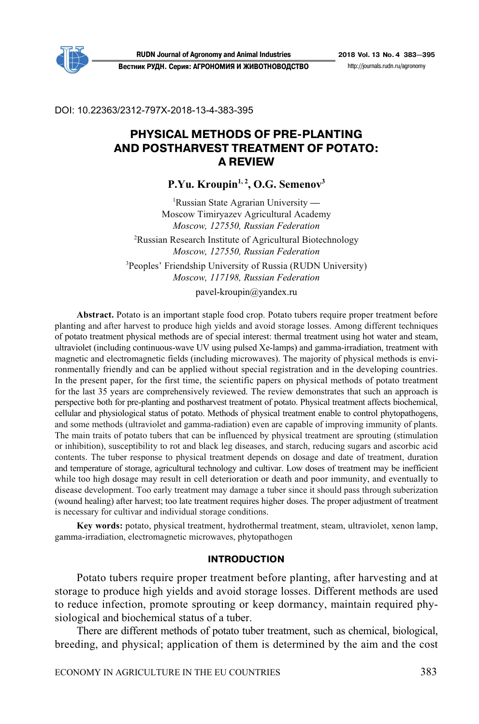

**RUDN Journal of Agronomy and Animal Industries 2018 Vol. 13 No. 4 383—395 Вестник РУДН. Серия: АГРОНОМИЯ И ЖИВОТНОВОДСТВО** http://journals.rudn.ru/agronomy

DOI: 10.22363/2312-797X-2018-13-4-383-395

# **PHYSICAL METHODS OF PRE-PLANTING AND POSTHARVEST TREATMENT OF POTATO: A REVIEW**

P.Yu. Kroupin<sup>1, 2</sup>, O.G. Semenov<sup>3</sup>

1 Russian State Agrarian University **—** Moscow Timiryazev Agricultural Academy *Moscow, 127550, Russian Federation* 

<sup>2</sup>Russian Research Institute of Agricultural Biotechnology *Moscow, 127550, Russian Federation* 

3 Рeoples' Friendship University of Russia (RUDN University) *Moscow, 117198, Russian Federation* 

pavel-kroupin@yandex.ru

**Abstract.** Potato is an important staple food crop. Potato tubers require proper treatment before planting and after harvest to produce high yields and avoid storage losses. Among different techniques of potato treatment physical methods are of special interest: thermal treatment using hot water and steam, ultraviolet (including continuous-wave UV using pulsed Xe-lamps) and gamma-irradiation, treatment with magnetic and electromagnetic fields (including microwaves). The majority of physical methods is environmentally friendly and can be applied without special registration and in the developing countries. In the present paper, for the first time, the scientific papers on physical methods of potato treatment for the last 35 years are comprehensively reviewed. The review demonstrates that such an approach is perspective both for pre-planting and postharvest treatment of potato. Physical treatment affects biochemical, cellular and physiological status of potato. Methods of physical treatment enable to control phytopathogens, and some methods (ultraviolet and gamma-radiation) even are capable of improving immunity of plants. The main traits of potato tubers that can be influenced by physical treatment are sprouting (stimulation or inhibition), susceptibility to rot and black leg diseases, and starch, reducing sugars and ascorbic acid contents. The tuber response to physical treatment depends on dosage and date of treatment, duration and temperature of storage, agricultural technology and cultivar. Low doses of treatment may be inefficient while too high dosage may result in cell deterioration or death and poor immunity, and eventually to disease development. Too early treatment may damage a tuber since it should pass through suberization (wound healing) after harvest; too late treatment requires higher doses. The proper adjustment of treatment is necessary for cultivar and individual storage conditions.

**Key words:** potato, physical treatment, hydrothermal treatment, steam, ultraviolet, xenon lamp, gamma-irradiation, electromagnetic microwaves, phytopathogen

#### **INTRODUCTION**

Potato tubers require proper treatment before planting, after harvesting and at storage to produce high yields and avoid storage losses. Different methods are used to reduce infection, promote sprouting or keep dormancy, maintain required physiological and biochemical status of a tuber.

There are different methods of potato tuber treatment, such as chemical, biological, breeding, and physical; application of them is determined by the aim and the cost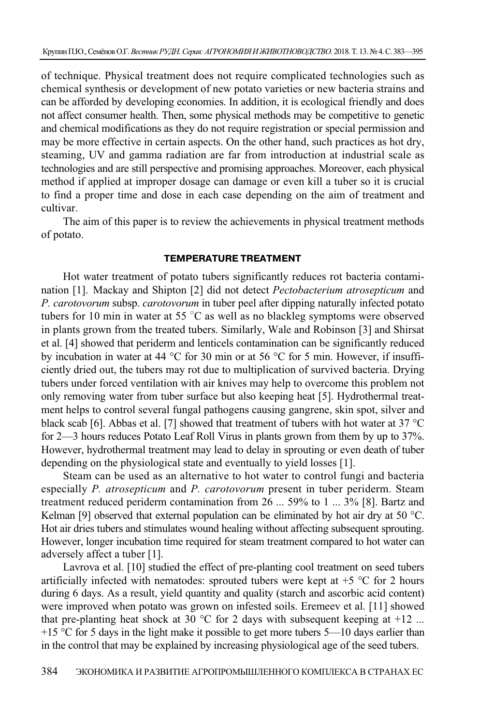of technique. Physical treatment does not require complicated technologies such as chemical synthesis or development of new potato varieties or new bacteria strains and can be afforded by developing economies. In addition, it is ecological friendly and does not affect consumer health. Then, some physical methods may be competitive to genetic and chemical modifications as they do not require registration or special permission and may be more effective in certain aspects. On the other hand, such practices as hot dry, steaming, UV and gamma radiation are far from introduction at industrial scale as technologies and are still perspective and promising approaches. Moreover, each physical method if applied at improper dosage can damage or even kill a tuber so it is crucial to find a proper time and dose in each case depending on the aim of treatment and cultivar.

The aim of this paper is to review the achievements in physical treatment methods of potato.

#### **TEMPERATURE TREATMENT**

Hot water treatment of potato tubers significantly reduces rot bacteria contamination [1]. Mackay and Shipton [2] did not detect *Pectobacterium atrosepticum* and *P. carotovorum* subsp. *carotovorum* in tuber peel after dipping naturally infected potato tubers for 10 min in water at 55 $\degree$ C as well as no blackleg symptoms were observed in plants grown from the treated tubers. Similarly, Wale and Robinson [3] and Shirsat et al. [4] showed that periderm and lenticels contamination can be significantly reduced by incubation in water at 44 °C for 30 min or at 56 °C for 5 min. However, if insufficiently dried out, the tubers may rot due to multiplication of survived bacteria. Drying tubers under forced ventilation with air knives may help to overcome this problem not only removing water from tuber surface but also keeping heat [5]. Hydrothermal treatment helps to control several fungal pathogens causing gangrene, skin spot, silver and black scab [6]. Abbas et al. [7] showed that treatment of tubers with hot water at 37 °С for 2—3 hours reduces Potato Leaf Roll Virus in plants grown from them by up to 37%. However, hydrothermal treatment may lead to delay in sprouting or even death of tuber depending on the physiological state and eventually to yield losses [1].

Steam can be used as an alternative to hot water to control fungi and bacteria especially *P. atrosepticum* and *P. carotovorum* present in tuber periderm. Steam treatment reduced periderm contamination from 26 ... 59% to 1 ... 3% [8]. Bartz and Kelman [9] observed that external population can be eliminated by hot air dry at 50  $^{\circ}$ C. Hot air dries tubers and stimulates wound healing without affecting subsequent sprouting. However, longer incubation time required for steam treatment compared to hot water can adversely affect a tuber [1].

Lavrova et al. [10] studied the effect of pre-planting cool treatment on seed tubers artificially infected with nematodes: sprouted tubers were kept at  $+5$  °C for 2 hours during 6 days. As a result, yield quantity and quality (starch and ascorbic acid content) were improved when potato was grown on infested soils. Eremeev et al. [11] showed that pre-planting heat shock at 30  $\degree$ C for 2 days with subsequent keeping at +12 ...  $+15$  °C for 5 days in the light make it possible to get more tubers 5—10 days earlier than in the control that may be explained by increasing physiological age of the seed tubers.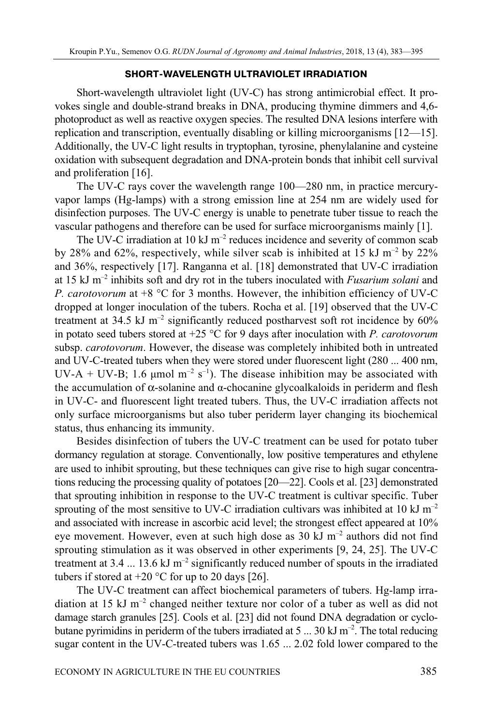#### **SHORT-WAVELENGTH ULTRAVIOLET IRRADIATION**

Short-wavelength ultraviolet light (UV-C) has strong antimicrobial effect. It provokes single and double-strand breaks in DNA, producing thymine dimmers and 4,6 photoproduct as well as reactive oxygen species. The resulted DNA lesions interfere with replication and transcription, eventually disabling or killing microorganisms [12—15]. Additionally, the UV-C light results in tryptophan, tyrosine, phenylalanine and cysteine oxidation with subsequent degradation and DNA-protein bonds that inhibit cell survival and proliferation [16].

The UV-C rays cover the wavelength range 100—280 nm, in practice mercuryvapor lamps (Hg-lamps) with a strong emission line at 254 nm are widely used for disinfection purposes. The UV-C energy is unable to penetrate tuber tissue to reach the vascular pathogens and therefore can be used for surface microorganisms mainly [1].

The UV-C irradiation at 10 kJ  $m^{-2}$  reduces incidence and severity of common scab by 28% and 62%, respectively, while silver scab is inhibited at 15 kJ  $m^{-2}$  by 22% and 36%, respectively [17]. Ranganna et al. [18] demonstrated that UV-C irradiation at 15 kJ m–2 inhibits soft and dry rot in the tubers inoculated with *Fusarium solani* and *P. carotovorum* at +8 °С for 3 months. However, the inhibition efficiency of UV-C dropped at longer inoculation of the tubers. Rocha et al. [19] observed that the UV-C treatment at 34.5 kJ  $m^{-2}$  significantly reduced postharvest soft rot incidence by 60% in potato seed tubers stored at +25 °С for 9 days after inoculation with *P. carotovorum* subsp. *carotovorum*. However, the disease was completely inhibited both in untreated and UV-C-treated tubers when they were stored under fluorescent light (280 ... 400 nm, UV-A + UV-B; 1.6  $\mu$ mol m<sup>-2</sup> s<sup>-1</sup>). The disease inhibition may be associated with the accumulation of  $\alpha$ -solanine and  $\alpha$ -chocanine glycoalkaloids in periderm and flesh in UV-C- and fluorescent light treated tubers. Thus, the UV-C irradiation affects not only surface microorganisms but also tuber periderm layer changing its biochemical status, thus enhancing its immunity.

Besides disinfection of tubers the UV-C treatment can be used for potato tuber dormancy regulation at storage. Conventionally, low positive temperatures and ethylene are used to inhibit sprouting, but these techniques can give rise to high sugar concentrations reducing the processing quality of potatoes [20—22]. Cools et al. [23] demonstrated that sprouting inhibition in response to the UV-C treatment is cultivar specific. Tuber sprouting of the most sensitive to UV-C irradiation cultivars was inhibited at 10 kJ m<sup>-2</sup> and associated with increase in ascorbic acid level; the strongest effect appeared at 10% eye movement. However, even at such high dose as 30 kJ m–2 authors did not find sprouting stimulation as it was observed in other experiments [9, 24, 25]. The UV-C treatment at  $3.4 \dots 13.6 \text{ kJ m}^{-2}$  significantly reduced number of spouts in the irradiated tubers if stored at  $+20$  °C for up to 20 days [26].

The UV-C treatment can affect biochemical parameters of tubers. Hg-lamp irradiation at 15 kJ m–2 changed neither texture nor color of a tuber as well as did not damage starch granules [25]. Cools et al. [23] did not found DNA degradation or cyclobutane pyrimidins in periderm of the tubers irradiated at 5 ... 30 kJ  $\text{m}^{-2}$ . The total reducing sugar content in the UV-C-treated tubers was 1.65 ... 2.02 fold lower compared to the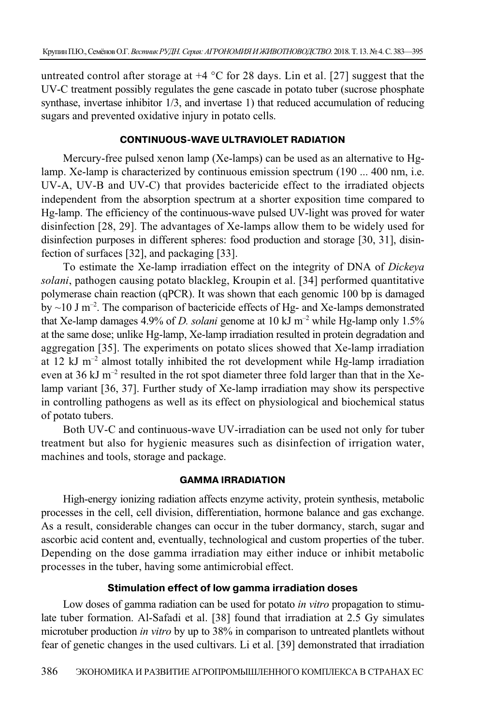untreated control after storage at  $+4$  °C for 28 days. Lin et al. [27] suggest that the UV-C treatment possibly regulates the gene cascade in potato tuber (sucrose phosphate synthase, invertase inhibitor 1/3, and invertase 1) that reduced accumulation of reducing sugars and prevented oxidative injury in potato cells.

#### **CONTINUOUS-WAVE ULTRAVIOLET RADIATION**

Mercury-free pulsed xenon lamp (Xe-lamps) can be used as an alternative to Hglamp. Xe-lamp is characterized by continuous emission spectrum (190 ... 400 nm, i.e. UV-A, UV-B and UV-C) that provides bactericide effect to the irradiated objects independent from the absorption spectrum at a shorter exposition time compared to Hg-lamp. The efficiency of the continuous-wave pulsed UV-light was proved for water disinfection [28, 29]. The advantages of Xe-lamps allow them to be widely used for disinfection purposes in different spheres: food production and storage [30, 31], disinfection of surfaces [32], and packaging [33].

To estimate the Xe-lamp irradiation effect on the integrity of DNA of *Dickeya solani*, pathogen causing potato blackleg, Kroupin et al. [34] performed quantitative polymerase chain reaction (qPCR). It was shown that each genomic 100 bp is damaged by  $\sim$ 10 J m<sup>-2</sup>. The comparison of bactericide effects of Hg- and Xe-lamps demonstrated that Xe-lamp damages 4.9% of *D. solani* genome at 10 kJ m–2 while Hg-lamp only 1.5% at the same dose; unlike Hg-lamp, Xe-lamp irradiation resulted in protein degradation and aggregation [35]. The experiments on potato slices showed that Xe-lamp irradiation at 12 kJ m<sup>-2</sup> almost totally inhibited the rot development while Hg-lamp irradiation even at  $36 \text{ kJ m}^{-2}$  resulted in the rot spot diameter three fold larger than that in the Xelamp variant [36, 37]. Further study of Xe-lamp irradiation may show its perspective in controlling pathogens as well as its effect on physiological and biochemical status of potato tubers.

Both UV-C and continuous-wave UV-irradiation can be used not only for tuber treatment but also for hygienic measures such as disinfection of irrigation water, machines and tools, storage and package.

### **GAMMA IRRADIATION**

High-energy ionizing radiation affects enzyme activity, protein synthesis, metabolic processes in the cell, cell division, differentiation, hormone balance and gas exchange. As a result, considerable changes can occur in the tuber dormancy, starch, sugar and ascorbic acid content and, eventually, technological and custom properties of the tuber. Depending on the dose gamma irradiation may either induce or inhibit metabolic processes in the tuber, having some antimicrobial effect.

## **Stimulation effect of low gamma irradiation doses**

Low doses of gamma radiation can be used for potato *in vitro* propagation to stimulate tuber formation. Al-Safadi et al. [38] found that irradiation at 2.5 Gy simulates microtuber production *in vitro* by up to 38% in comparison to untreated plantlets without fear of genetic changes in the used cultivars. Li et al. [39] demonstrated that irradiation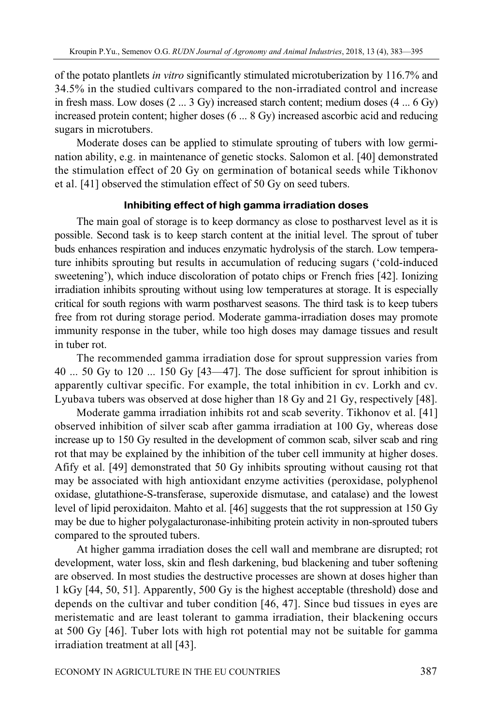of the potato plantlets *in vitro* significantly stimulated microtuberization by 116.7% and 34.5% in the studied cultivars compared to the non-irradiated control and increase in fresh mass. Low doses  $(2 \dots 3 \text{ Gy})$  increased starch content; medium doses  $(4 \dots 6 \text{ Gy})$ increased protein content; higher doses (6 ... 8 Gy) increased ascorbic acid and reducing sugars in microtubers.

Moderate doses can be applied to stimulate sprouting of tubers with low germination ability, e.g. in maintenance of genetic stocks. Salomon et al. [40] demonstrated the stimulation effect of 20 Gy on germination of botanical seeds while Tikhonov et al. [41] observed the stimulation effect of 50 Gy on seed tubers.

# **Inhibiting effect of high gamma irradiation doses**

The main goal of storage is to keep dormancy as close to postharvest level as it is possible. Second task is to keep starch content at the initial level. The sprout of tuber buds enhances respiration and induces enzymatic hydrolysis of the starch. Low temperature inhibits sprouting but results in accumulation of reducing sugars ('cold-induced sweetening'), which induce discoloration of potato chips or French fries [42]. Ionizing irradiation inhibits sprouting without using low temperatures at storage. It is especially critical for south regions with warm postharvest seasons. The third task is to keep tubers free from rot during storage period. Moderate gamma-irradiation doses may promote immunity response in the tuber, while too high doses may damage tissues and result in tuber rot.

The recommended gamma irradiation dose for sprout suppression varies from 40 ... 50 Gy to 120 ... 150 Gy [43—47]. The dose sufficient for sprout inhibition is apparently cultivar specific. For example, the total inhibition in cv. Lorkh and cv. Lyubava tubers was observed at dose higher than 18 Gy and 21 Gy, respectively [48].

Moderate gamma irradiation inhibits rot and scab severity. Tikhonov et al. [41] observed inhibition of silver scab after gamma irradiation at 100 Gy, whereas dose increase up to 150 Gy resulted in the development of common scab, silver scab and ring rot that may be explained by the inhibition of the tuber cell immunity at higher doses. Afify et al. [49] demonstrated that 50 Gy inhibits sprouting without causing rot that may be associated with high antioxidant enzyme activities (peroxidase, polyphenol oxidase, glutathione-S-transferase, superoxide dismutase, and catalase) and the lowest level of lipid peroxidaiton. Mahto et al. [46] suggests that the rot suppression at 150 Gy may be due to higher polygalacturonase-inhibiting protein activity in non-sprouted tubers compared to the sprouted tubers.

At higher gamma irradiation doses the cell wall and membrane are disrupted; rot development, water loss, skin and flesh darkening, bud blackening and tuber softening are observed. In most studies the destructive processes are shown at doses higher than 1 kGy [44, 50, 51]. Apparently, 500 Gy is the highest acceptable (threshold) dose and depends on the cultivar and tuber condition [46, 47]. Since bud tissues in eyes are meristematic and are least tolerant to gamma irradiation, their blackening occurs at 500 Gy [46]. Tuber lots with high rot potential may not be suitable for gamma irradiation treatment at all [43].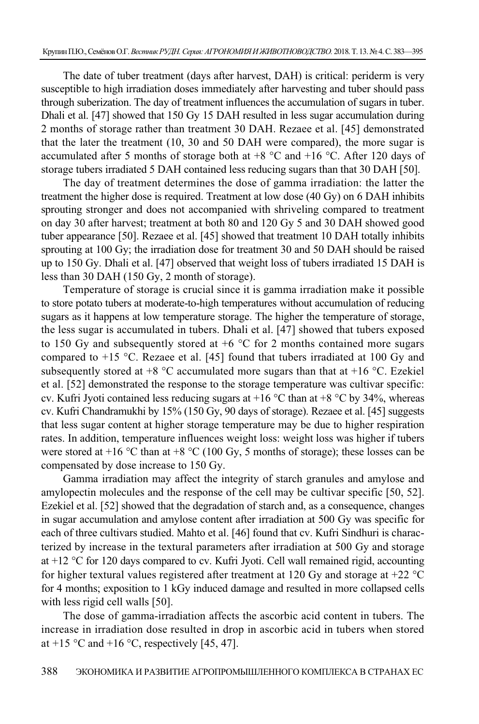The date of tuber treatment (days after harvest, DAH) is critical: periderm is very susceptible to high irradiation doses immediately after harvesting and tuber should pass through suberization. The day of treatment influences the accumulation of sugars in tuber. Dhali et al. [47] showed that 150 Gy 15 DAH resulted in less sugar accumulation during 2 months of storage rather than treatment 30 DAH. Rezaee et al. [45] demonstrated that the later the treatment (10, 30 and 50 DAH were compared), the more sugar is accumulated after 5 months of storage both at  $+8$  °C and  $+16$  °C. After 120 days of storage tubers irradiated 5 DAH contained less reducing sugars than that 30 DAH [50].

The day of treatment determines the dose of gamma irradiation: the latter the treatment the higher dose is required. Treatment at low dose (40 Gy) on 6 DAH inhibits sprouting stronger and does not accompanied with shriveling compared to treatment on day 30 after harvest; treatment at both 80 and 120 Gy 5 and 30 DAH showed good tuber appearance [50]. Rezaee et al. [45] showed that treatment 10 DAH totally inhibits sprouting at 100 Gy; the irradiation dose for treatment 30 and 50 DAH should be raised up to 150 Gy. Dhali et al. [47] observed that weight loss of tubers irradiated 15 DAH is less than 30 DAH (150 Gy, 2 month of storage).

Temperature of storage is crucial since it is gamma irradiation make it possible to store potato tubers at moderate-to-high temperatures without accumulation of reducing sugars as it happens at low temperature storage. The higher the temperature of storage, the less sugar is accumulated in tubers. Dhali et al. [47] showed that tubers exposed to 150 Gy and subsequently stored at  $+6$  °C for 2 months contained more sugars compared to  $+15$  °C. Rezaee et al. [45] found that tubers irradiated at 100 Gy and subsequently stored at  $+8$  °C accumulated more sugars than that at  $+16$  °C. Ezekiel et al. [52] demonstrated the response to the storage temperature was cultivar specific: cv. Kufri Jyoti contained less reducing sugars at  $+16\degree C$  than at  $+8\degree C$  by 34%, whereas cv. Kufri Chandramukhi by 15% (150 Gy, 90 days of storage). Rezaee et al. [45] suggests that less sugar content at higher storage temperature may be due to higher respiration rates. In addition, temperature influences weight loss: weight loss was higher if tubers were stored at +16  $^{\circ}$ C than at +8  $^{\circ}$ C (100 Gy, 5 months of storage); these losses can be compensated by dose increase to 150 Gy.

Gamma irradiation may affect the integrity of starch granules and amylose and amylopectin molecules and the response of the cell may be cultivar specific [50, 52]. Ezekiel et al. [52] showed that the degradation of starch and, as a consequence, changes in sugar accumulation and amylose content after irradiation at 500 Gy was specific for each of three cultivars studied. Mahto et al. [46] found that cv. Kufri Sindhuri is characterized by increase in the textural parameters after irradiation at 500 Gy and storage at +12 °С for 120 days compared to cv. Kufri Jyoti. Cell wall remained rigid, accounting for higher textural values registered after treatment at 120 Gy and storage at  $+22$  °C for 4 months; exposition to 1 kGy induced damage and resulted in more collapsed cells with less rigid cell walls [50].

The dose of gamma-irradiation affects the ascorbic acid content in tubers. The increase in irradiation dose resulted in drop in ascorbic acid in tubers when stored at +15 °C and +16 °C, respectively [45, 47].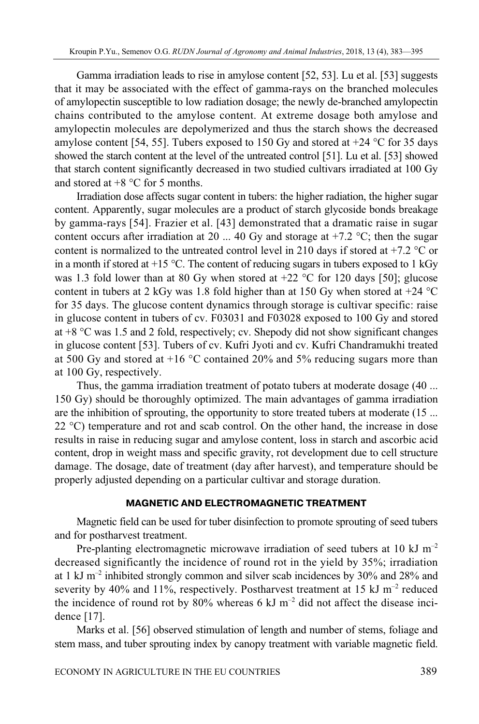Gamma irradiation leads to rise in amylose content [52, 53]. Lu et al. [53] suggests that it may be associated with the effect of gamma-rays on the branched molecules of amylopectin susceptible to low radiation dosage; the newly de-branched amylopectin chains contributed to the amylose content. At extreme dosage both amylose and amylopectin molecules are depolymerized and thus the starch shows the decreased amylose content [54, 55]. Tubers exposed to 150 Gy and stored at  $+24$  °C for 35 days showed the starch content at the level of the untreated control [51]. Lu et al. [53] showed that starch content significantly decreased in two studied cultivars irradiated at 100 Gy and stored at  $+8$  °C for 5 months.

Irradiation dose affects sugar content in tubers: the higher radiation, the higher sugar content. Apparently, sugar molecules are a product of starch glycoside bonds breakage by gamma-rays [54]. Frazier et al. [43] demonstrated that a dramatic raise in sugar content occurs after irradiation at 20 ... 40 Gy and storage at  $+7.2$  °C; then the sugar content is normalized to the untreated control level in 210 days if stored at  $+7.2$  °C or in a month if stored at  $+15$  °C. The content of reducing sugars in tubers exposed to 1 kGy was 1.3 fold lower than at 80 Gy when stored at  $+22$  °C for 120 days [50]; glucose content in tubers at 2 kGy was 1.8 fold higher than at 150 Gy when stored at  $+24$  °C for 35 days. The glucose content dynamics through storage is cultivar specific: raise in glucose content in tubers of cv. F03031 and F03028 exposed to 100 Gy and stored at  $+8$  °C was 1.5 and 2 fold, respectively; cv. Shepody did not show significant changes in glucose content [53]. Tubers of cv. Kufri Jyoti and cv. Kufri Chandramukhi treated at 500 Gy and stored at +16 °С contained 20% and 5% reducing sugars more than at 100 Gy, respectively.

Thus, the gamma irradiation treatment of potato tubers at moderate dosage (40 ... 150 Gy) should be thoroughly optimized. The main advantages of gamma irradiation are the inhibition of sprouting, the opportunity to store treated tubers at moderate (15 ... 22 °С) temperature and rot and scab control. On the other hand, the increase in dose results in raise in reducing sugar and amylose content, loss in starch and ascorbic acid content, drop in weight mass and specific gravity, rot development due to cell structure damage. The dosage, date of treatment (day after harvest), and temperature should be properly adjusted depending on a particular cultivar and storage duration.

#### **MAGNETIC AND ELECTROMAGNETIC TREATMENT**

Magnetic field can be used for tuber disinfection to promote sprouting of seed tubers and for postharvest treatment.

Pre-planting electromagnetic microwave irradiation of seed tubers at 10 kJ  $m^{-2}$ decreased significantly the incidence of round rot in the yield by 35%; irradiation at 1 kJ  $m^{-2}$  inhibited strongly common and silver scab incidences by 30% and 28% and severity by 40% and 11%, respectively. Postharvest treatment at 15 kJ  $m^{-2}$  reduced the incidence of round rot by  $80\%$  whereas 6 kJ m<sup>-2</sup> did not affect the disease incidence [17].

Marks et al. [56] observed stimulation of length and number of stems, foliage and stem mass, and tuber sprouting index by canopy treatment with variable magnetic field.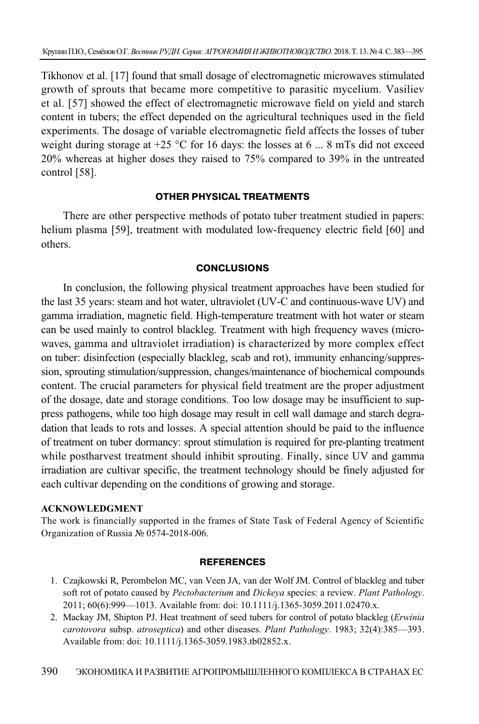Tikhonov et al. [17] found that small dosage of electromagnetic microwaves stimulated growth of sprouts that became more competitive to parasitic mycelium. Vasiliev et al. [57] showed the effect of electromagnetic microwave field on yield and starch content in tubers; the effect depended on the agricultural techniques used in the field experiments. The dosage of variable electromagnetic field affects the losses of tuber weight during storage at  $+25$  °C for 16 days: the losses at 6 ... 8 mTs did not exceed 20% whereas at higher doses they raised to 75% compared to 39% in the untreated control [58].

## **OTHER PHYSICAL TREATMENTS**

There are other perspective methods of potato tuber treatment studied in papers: helium plasma [59], treatment with modulated low-frequency electric field [60] and others.

## **CONCLUSIONS**

In conclusion, the following physical treatment approaches have been studied for the last 35 years: steam and hot water, ultraviolet (UV-C and continuous-wave UV) and gamma irradiation, magnetic field. High-temperature treatment with hot water or steam can be used mainly to control blackleg. Treatment with high frequency waves (microwaves, gamma and ultraviolet irradiation) is characterized by more complex effect on tuber: disinfection (especially blackleg, scab and rot), immunity enhancing/suppression, sprouting stimulation/suppression, changes/maintenance of biochemical compounds content. The crucial parameters for physical field treatment are the proper adjustment of the dosage, date and storage conditions. Too low dosage may be insufficient to suppress pathogens, while too high dosage may result in cell wall damage and starch degradation that leads to rots and losses. A special attention should be paid to the influence of treatment on tuber dormancy: sprout stimulation is required for pre-planting treatment while postharvest treatment should inhibit sprouting. Finally, since UV and gamma irradiation are cultivar specific, the treatment technology should be finely adjusted for each cultivar depending on the conditions of growing and storage.

## **ACKNOWLEDGMENT**

The work is financially supported in the frames of State Task of Federal Agency of Scientific Organization of Russia № 0574-2018-006.

## **REFERENCES**

- 1. Czajkowski R, Perombelon MC, van Veen JA, van der Wolf JM. Control of blackleg and tuber soft rot of potato caused by *Pectobacterium* and *Dickeya* species: a review. *Plant Pathology*. 2011; 60(6):999—1013. Available from: doi: 10.1111/j.1365-3059.2011.02470.x.
- 2. Mackay JM, Shipton PJ. Heat treatment of seed tubers for control of potato blackleg (*Erwinia carotovora* subsp. *atroseptica*) and other diseases. *Plant Pathology*. 1983; 32(4):385—393. Available from: doi: 10.1111/j.1365-3059.1983.tb02852.x.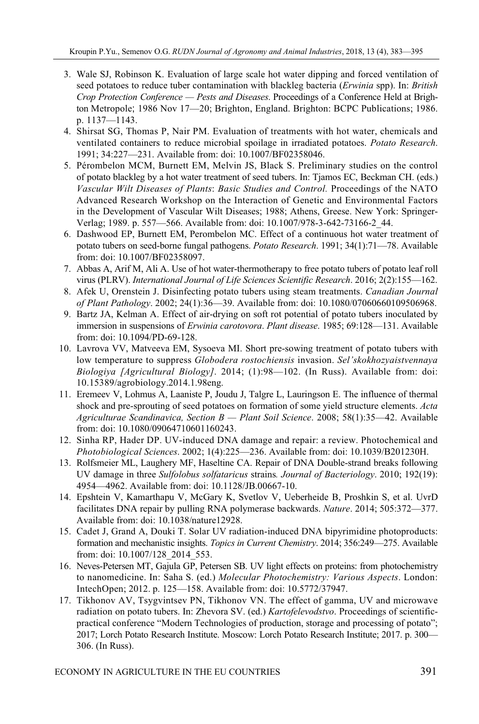- 3. Wale SJ, Robinson K. Evaluation of large scale hot water dipping and forced ventilation of seed potatoes to reduce tuber contamination with blackleg bacteria (*Erwinia* spp). In: *British Crop Protection Conference — Pests and Diseases*. Proceedings of a Conference Held at Brighton Metropole; 1986 Nov 17—20; Brighton, England. Brighton: BCPC Publications; 1986. p. 1137—1143.
- 4. Shirsat SG, Thomas P, Nair PM. Evaluation of treatments with hot water, chemicals and ventilated containers to reduce microbial spoilage in irradiated potatoes. *Potato Research*. 1991; 34:227—231. Available from: doi: 10.1007/BF02358046.
- 5. Pérombelon MCM, Burnett EM, Melvin JS, Black S. Preliminary studies on the control of potato blackleg by a hot water treatment of seed tubers. In: Tjamos EC, Beckman CH. (eds.) *Vascular Wilt Diseases of Plants*: *Basic Studies and Control.* Proceedings of the NATO Advanced Research Workshop on the Interaction of Genetic and Environmental Factors in the Development of Vascular Wilt Diseases; 1988; Athens, Greese. New York: Springer-Verlag; 1989. p. 557—566. Available from: doi: 10.1007/978-3-642-73166-2\_44.
- 6. Dashwood EP, Burnett EM, Perombelon MC. Effect of a continuous hot water treatment of potato tubers on seed-borne fungal pathogens. *Potato Research*. 1991; 34(1):71—78. Available from: doi: 10.1007/BF02358097.
- 7. Abbas A, Arif M, Ali A. Use of hot water-thermotherapy to free potato tubers of potato leaf roll virus (PLRV). *International Journal of Life Sciences Scientific Research*. 2016; 2(2):155—162.
- 8. Afek U, Orenstein J. Disinfecting potato tubers using steam treatments. *Canadian Journal of Plant Pathology*. 2002; 24(1):36—39. Available from: doi: 10.1080/07060660109506968.
- 9. Bartz JA, Kelman A. Effect of air-drying on soft rot potential of potato tubers inoculated by immersion in suspensions of *Erwinia carotovora*. *Plant disease*. 1985; 69:128—131. Available from: doi: 10.1094/PD-69-128.
- 10. Lavrova VV, Matveeva EM, Sysoeva MI. Short pre-sowing treatment of potato tubers with low temperature to suppress *Globodera rostochiensis* invasion. *Sel'skokhozyaistvennaya Biologiya [Agricultural Biology]*. 2014; (1):98—102. (In Russ). Available from: doi: 10.15389/agrobiology.2014.1.98eng.
- 11. Eremeev V, Lohmus A, Laaniste P, Joudu J, Talgre L, Lauringson E. The influence of thermal shock and pre-sprouting of seed potatoes on formation of some yield structure elements. *Acta Agriculturae Scandinavica, Section B — Plant Soil Science*. 2008; 58(1):35—42. Available from: doi: 10.1080/09064710601160243.
- 12. Sinha RP, Hader DP. UV-induced DNA damage and repair: a review. Photochemical and *Photobiological Sciences*. 2002; 1(4):225—236. Available from: doi: 10.1039/B201230H.
- 13. Rolfsmeier ML, Laughery MF, Haseltine CA. Repair of DNA Double-strand breaks following UV damage in three *Sulfolobus solfataricus* strains*. Journal of Bacteriology*. 2010; 192(19): 4954—4962. Available from: doi: 10.1128/JB.00667-10.
- 14. Epshtein V, Kamarthapu V, McGary K, Svetlov V, Ueberheide B, Proshkin S, et al. UvrD facilitates DNA repair by pulling RNA polymerase backwards. *Nature*. 2014; 505:372—377. Available from: doi: 10.1038/nature12928.
- 15. Cadet J, Grand A, Douki T. Solar UV radiation-induced DNA bipyrimidine photoproducts: formation and mechanistic insights. *Topics in Current Chemistry*. 2014; 356:249—275. Available from: doi: 10.1007/128\_2014\_553.
- 16. Neves-Petersen MT, Gajula GP, Petersen SB. UV light effects on proteins: from photochemistry to nanomedicine. In: Saha S. (ed.) *Molecular Photochemistry: Various Aspects*. London: IntechOpen; 2012. p. 125—158. Available from: doi: 10.5772/37947.
- 17. Tikhonov AV, Tsygvintsev PN, Tikhonov VN. The effect of gamma, UV and microwave radiation on potato tubers. In: Zhevora SV. (ed.) *Kartofelevodstvo*. Proceedings of scientificpractical conference "Modern Technologies of production, storage and processing of potato"; 2017; Lorch Potato Research Institute. Moscow: Lorch Potato Research Institute; 2017. p. 300— 306. (In Russ).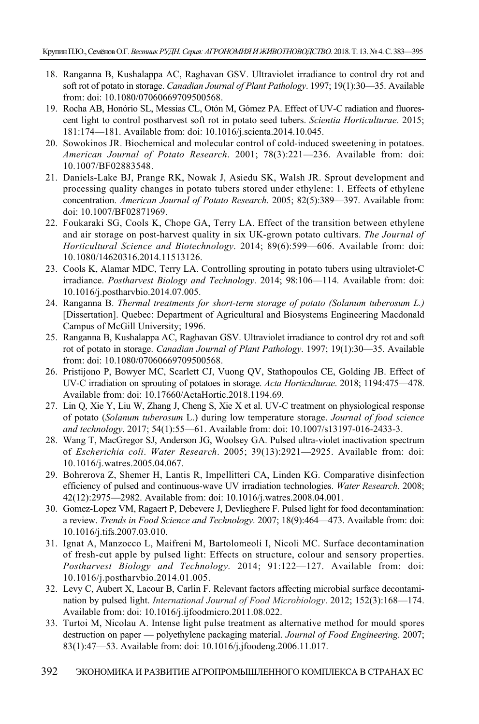- 18. Ranganna B, Kushalappa AC, Raghavan GSV. Ultraviolet irradiance to control dry rot and soft rot of potato in storage. *Canadian Journal of Plant Pathology*. 1997; 19(1):30—35. Available from: doi: 10.1080/07060669709500568.
- 19. Rocha AB, Honório SL, Messias CL, Otón M, Gómez PA. Effect of UV-C radiation and fluorescent light to control postharvest soft rot in potato seed tubers. *Scientia Horticulturae*. 2015; 181:174—181. Available from: doi: 10.1016/j.scienta.2014.10.045.
- 20. Sowokinos JR. Biochemical and molecular control of cold-induced sweetening in potatoes. *American Journal of Potato Research*. 2001; 78(3):221—236. Available from: doi: 10.1007/BF02883548.
- 21. Daniels-Lake BJ, Prange RK, Nowak J, Asiedu SK, Walsh JR. Sprout development and processing quality changes in potato tubers stored under ethylene: 1. Effects of ethylene concentration. *American Journal of Potato Research*. 2005; 82(5):389—397. Available from: doi: 10.1007/BF02871969.
- 22. Foukaraki SG, Cools K, Chope GA, Terry LA. Effect of the transition between ethylene and air storage on post-harvest quality in six UK-grown potato cultivars. *The Journal of Horticultural Science and Biotechnology*. 2014; 89(6):599—606. Available from: doi: 10.1080/14620316.2014.11513126.
- 23. Cools K, Alamar MDC, Terry LA. Controlling sprouting in potato tubers using ultraviolet-C irradiance. *Postharvest Biology and Technology*. 2014; 98:106—114. Available from: doi: 10.1016/j.postharvbio.2014.07.005.
- 24. Ranganna B. *Thermal treatments for short-term storage of potato (Solanum tuberosum L.)* [Dissertation]. Quebec: Department of Agricultural and Biosystems Engineering Macdonald Campus of McGill University; 1996.
- 25. Ranganna B, Kushalappa AC, Raghavan GSV. Ultraviolet irradiance to control dry rot and soft rot of potato in storage. *Canadian Journal of Plant Pathology*. 1997; 19(1):30—35. Available from: doi: 10.1080/07060669709500568.
- 26. Pristijono P, Bowyer MC, Scarlett CJ, Vuong QV, Stathopoulos CE, Golding JB. Effect of UV-C irradiation on sprouting of potatoes in storage. *Acta Horticulturae*. 2018; 1194:475—478. Available from: doi: 10.17660/ActaHortic.2018.1194.69.
- 27. Lin Q, Xie Y, Liu W, Zhang J, Cheng S, Xie X et al. UV-C treatment on physiological response of potato (*Solanum tuberosum* L.) during low temperature storage. *Journal of food science and technology*. 2017; 54(1):55—61. Available from: doi: 10.1007/s13197-016-2433-3.
- 28. Wang T, MacGregor SJ, Anderson JG, Woolsey GA. Pulsed ultra-violet inactivation spectrum of *Escherichia coli*. *Water Research*. 2005; 39(13):2921—2925. Available from: doi: 10.1016/j.watres.2005.04.067.
- 29. Bohrerova Z, Shemer H, Lantis R, Impellitteri CA, Linden KG. Comparative disinfection efficiency of pulsed and continuous-wave UV irradiation technologies. *Water Research*. 2008; 42(12):2975—2982. Available from: doi: 10.1016/j.watres.2008.04.001.
- 30. Gomez-Lopez VM, Ragaert P, Debevere J, Devlieghere F. Pulsed light for food decontamination: a review. *Trends in Food Science and Technology*. 2007; 18(9):464—473. Available from: doi: 10.1016/j.tifs.2007.03.010.
- 31. Ignat A, Manzocco L, Maifreni M, Bartolomeoli I, Nicoli MC. Surface decontamination of fresh-cut apple by pulsed light: Effects on structure, colour and sensory properties. *Postharvest Biology and Technology*. 2014; 91:122—127. Available from: doi: 10.1016/j.postharvbio.2014.01.005.
- 32. Levy C, Aubert X, Lacour B, Carlin F. Relevant factors affecting microbial surface decontamination by pulsed light. *International Journal of Food Microbiology*. 2012; 152(3):168—174. Available from: doi: 10.1016/j.ijfoodmicro.2011.08.022.
- 33. Turtoi M, Nicolau A. Intense light pulse treatment as alternative method for mould spores destruction on paper — polyethylene packaging material. *Journal of Food Engineering*. 2007; 83(1):47—53. Available from: doi: 10.1016/j.jfoodeng.2006.11.017.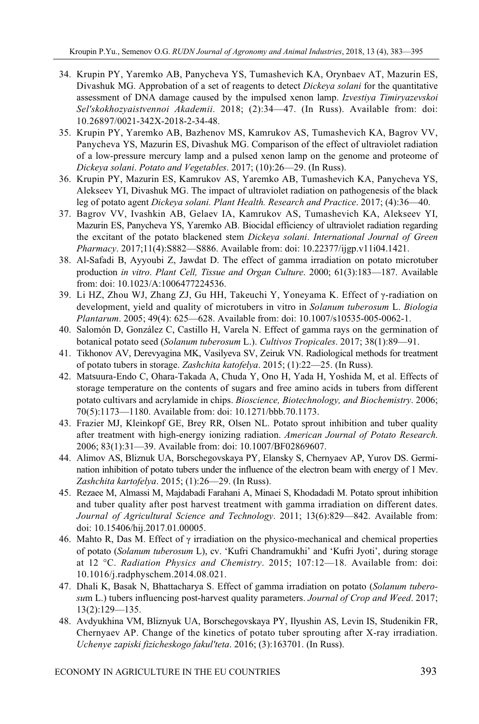- 34. Krupin PY, Yaremko AB, Panycheva YS, Tumashevich KA, Orynbaev AT, Mazurin ES, Divashuk MG. Approbation of a set of reagents to detect *Dickeya solani* for the quantitative assessment of DNA damage caused by the impulsed xenon lamp. *Izvestiya Timiryazevskoi Sel'skokhozyaistvennoi Akademii*. 2018; (2):34—47. (In Russ). Available from: doi: 10.26897/0021-342X-2018-2-34-48.
- 35. Krupin PY, Yaremko AB, Bazhenov MS, Kamrukov AS, Tumashevich KA, Bagrov VV, Panycheva YS, Mazurin ES, Divashuk MG. Comparison of the effect of ultraviolet radiation of a low-pressure mercury lamp and a pulsed xenon lamp on the genome and proteome of *Dickeya solani*. *Potato and Vegetables*. 2017; (10):26—29. (In Russ).
- 36. Krupin PY, Mazurin ES, Kamrukov AS, Yaremko AB, Tumashevich KA, Panycheva YS, Alekseev YI, Divashuk MG. The impact of ultraviolet radiation on pathogenesis of the black leg of potato agent *Dickeya solani. Plant Health. Research and Practice*. 2017; (4):36—40.
- 37. Bagrov VV, Ivashkin AB, Gelaev IA, Kamrukov AS, Tumashevich KA, Alekseev YI, Mazurin ES, Panycheva YS, Yaremko AB. Biocidal efficiency of ultraviolet radiation regarding the excitant of the potato blackened stem *Dickeya solani*. *International Journal of Green Pharmacy*. 2017;11(4):S882—S886. Available from: doi: 10.22377/ijgp.v11i04.1421.
- 38. Al-Safadi B, Ayyoubi Z, Jawdat D. The effect of gamma irradiation on potato microtuber production *in vitro*. *Plant Cell, Tissue and Organ Culture*. 2000; 61(3):183—187. Available from: doi: 10.1023/A:1006477224536.
- 39. Li HZ, Zhou WJ, Zhang ZJ, Gu HH, Takeuchi Y, Yoneyama K. Effect of γ-radiation on development, yield and quality of microtubers in vitro in *Solanum tuberosum* L. *Biologia Plantarum*. 2005; 49(4): 625—628. Available from: doi: 10.1007/s10535-005-0062-1.
- 40. Salomón D, González C, Castillo H, Varela N. Effect of gamma rays on the germination of botanical potato seed (*Solanum tuberosum* L.). *Cultivos Tropicales*. 2017; 38(1):89—91.
- 41. Tikhonov AV, Derevyagina MK, Vasilyeva SV, Zeiruk VN. Radiological methods for treatment of potato tubers in storage. *Zashchita katofelya*. 2015; (1):22—25. (In Russ).
- 42. Matsuura-Endo C, Ohara-Takada A, Chuda Y, Ono H, Yada H, Yoshida M, et al. Effects of storage temperature on the contents of sugars and free amino acids in tubers from different potato cultivars and acrylamide in chips. *Bioscience, Biotechnology, and Biochemistry*. 2006; 70(5):1173—1180. Available from: doi: 10.1271/bbb.70.1173.
- 43. Frazier MJ, Kleinkopf GE, Brey RR, Olsen NL. Potato sprout inhibition and tuber quality after treatment with high-energy ionizing radiation. *American Journal of Potato Research*. 2006; 83(1):31—39. Available from: doi: 10.1007/BF02869607.
- 44. Alimov AS, Bliznuk UA, Borschegovskaya PY, Elansky S, Chernyaev AP, Yurov DS. Germination inhibition of potato tubers under the influence of the electron beam with energy of 1 Mev. *Zashchita kartofelya*. 2015; (1):26—29. (In Russ).
- 45. Rezaee M, Almassi M, Majdabadi Farahani A, Minaei S, Khodadadi M. Potato sprout inhibition and tuber quality after post harvest treatment with gamma irradiation on different dates. *Journal of Agricultural Science and Technology*. 2011; 13(6):829—842. Available from: doi: 10.15406/hij.2017.01.00005.
- 46. Mahto R, Das M. Effect of  $\gamma$  irradiation on the physico-mechanical and chemical properties of potato (*Solanum tuberosum* L), cv. 'Kufri Chandramukhi' and 'Kufri Jyoti', during storage at 12 °C. *Radiation Physics and Chemistry*. 2015; 107:12—18. Available from: doi: 10.1016/j.radphyschem.2014.08.021.
- 47. Dhali K, Basak N, Bhattacharya S. Effect of gamma irradiation on potato (*Solanum tuberosu*m L.) tubers influencing post-harvest quality parameters. *Journal of Crop and Weed*. 2017; 13(2):129—135.
- 48. Avdyukhina VM, Bliznyuk UA, Borschegovskaya PY, Ilyushin AS, Levin IS, Studenikin FR, Chernyaev AP. Change of the kinetics of potato tuber sprouting after X-ray irradiation. *Uchenye zapiski fizicheskogo fakul'teta*. 2016; (3):163701. (In Russ).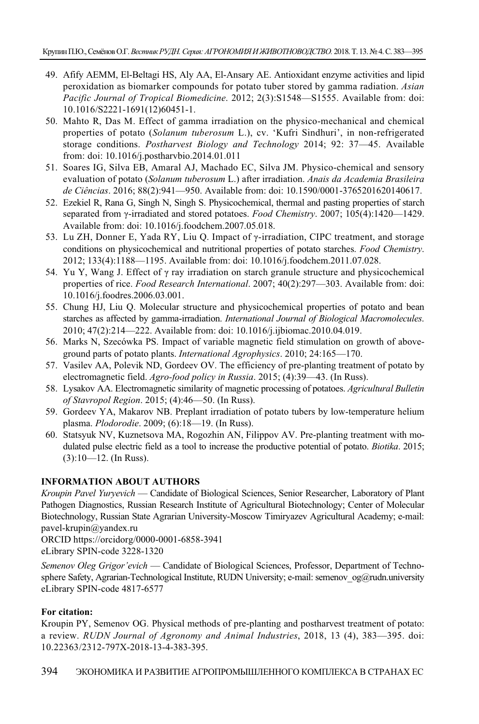- 49. Afify AEMM, El-Beltagi HS, Aly AA, El-Ansary AE. Antioxidant enzyme activities and lipid peroxidation as biomarker compounds for potato tuber stored by gamma radiation. *Asian Pacific Journal of Tropical Biomedicine*. 2012; 2(3):S1548—S1555. Available from: doi: 10.1016/S2221-1691(12)60451-1.
- 50. Mahto R, Das M. Effect of gamma irradiation on the physico-mechanical and chemical properties of potato (*Solanum tuberosum* L.), cv. 'Kufri Sindhuri', in non-refrigerated storage conditions. *Postharvest Biology and Technology* 2014; 92: 37—45. Available from: doi: 10.1016/j.postharvbio.2014.01.011
- 51. Soares IG, Silva EB, Amaral AJ, Machado EC, Silva JM. Physico-chemical and sensory evaluation of potato (*Solanum tuberosum* L.) after irradiation. *Anais da Academia Brasileira de Ciências*. 2016; 88(2):941—950. Available from: doi: 10.1590/0001-3765201620140617.
- 52. Ezekiel R, Rana G, Singh N, Singh S. Physicochemical, thermal and pasting properties of starch separated from γ-irradiated and stored potatoes. *Food Chemistry*. 2007; 105(4):1420—1429. Available from: doi: 10.1016/j.foodchem.2007.05.018.
- 53. Lu ZH, Donner E, Yada RY, Liu Q. Impact of γ-irradiation, CIPC treatment, and storage conditions on physicochemical and nutritional properties of potato starches. *Food Chemistry*. 2012; 133(4):1188—1195. Available from: doi: 10.1016/j.foodchem.2011.07.028.
- 54. Yu Y, Wang J. Effect of  $\gamma$  ray irradiation on starch granule structure and physicochemical properties of rice. *Food Research International*. 2007; 40(2):297—303. Available from: doi: 10.1016/j.foodres.2006.03.001.
- 55. Chung HJ, Liu Q. Molecular structure and physicochemical properties of potato and bean starches as affected by gamma-irradiation. *International Journal of Biological Macromolecules*. 2010; 47(2):214—222. Available from: doi: 10.1016/j.ijbiomac.2010.04.019.
- 56. Marks N, Szecówka PS. Impact of variable magnetic field stimulation on growth of aboveground parts of potato plants. *International Agrophysics*. 2010; 24:165—170.
- 57. Vasilev AA, Polevik ND, Gordeev OV. The efficiency of pre-planting treatment of potato by electromagnetic field. *Agro-food policy in Russia*. 2015; (4):39—43. (In Russ).
- 58. Lysakov AA. Electromagnetic similarity of magnetic processing of potatoes. *Agricultural Bulletin of Stavropol Region*. 2015; (4):46—50. (In Russ).
- 59. Gordeev YA, Makarov NB. Preplant irradiation of potato tubers by low-temperature helium plasma. *Plodorodie*. 2009; (6):18—19. (In Russ).
- 60. Statsyuk NV, Kuznetsova MA, Rogozhin AN, Filippov AV. Pre-planting treatment with modulated pulse electric field as a tool to increase the productive potential of potato. *Biotika*. 2015; (3):10—12. (In Russ).

#### **INFORMATION ABOUT AUTHORS**

*Kroupin Pavel Yuryevich* — Candidate of Biological Sciences, Senior Researcher, Laboratory of Plant Pathogen Diagnostics, Russian Research Institute of Agricultural Biotechnology; Center of Molecular Biotechnology, Russian State Agrarian University-Moscow Timiryazev Agricultural Academy; e-mail: pavel-krupin@yandex.ru

ORCID https://orcidorg/0000-0001-6858-3941 eLibrary SPIN-code 3228-1320

*Semenov Oleg Grigor'evich* — Candidate of Biological Sciences, Professor, Department of Technosphere Safety, Agrarian-Technological Institute, RUDN University; e-mail: semenov og@rudn.university eLibrary SPIN-code 4817-6577

#### **For citation:**

Kroupin PY, Semenov OG. Physical methods of pre-planting and postharvest treatment of potato: a review. *RUDN Journal of Agronomy and Animal Industries*, 2018, 13 (4), 383—395. doi: 10.22363/2312-797X-2018-13-4-383-395.